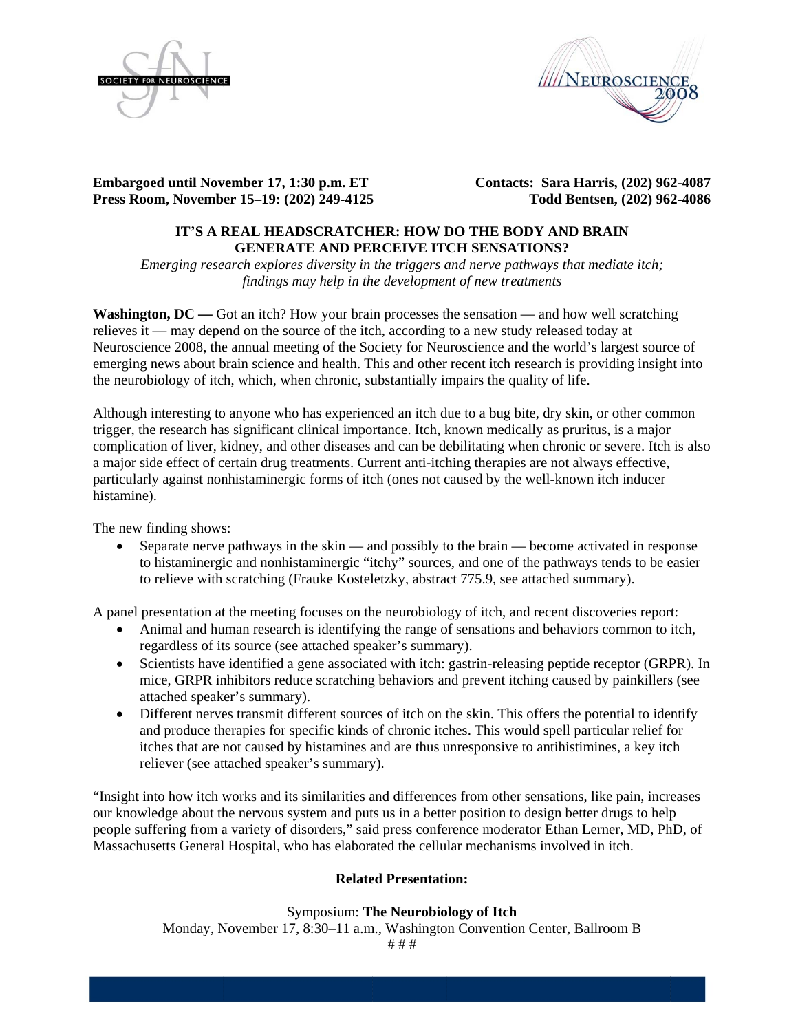



**Embargoed until November 17, 1:30 p.m. ET Press Roo om, Novemb er 15–19: (20 02) 249-4125 5**  **Contacts: Sara Harris, (202) 962-4087 Todd Bents sen, (202) 96 2-4086** 

# **IT'S A REAL HEADSCRATCHER: HOW DO THE BODY AND BRAIN GENERATE AND PERCEIVE ITCH SENSATIONS?**

*Emerging research explores diversity in the triggers and nerve pathways that mediate itch;* findings may help in the development of new treatments

**Washington, DC** — Got an itch? How your brain processes the sensation — and how well scratching relieves it — may depend on the source of the itch, according to a new study released today at Neuroscience 2008, the annual meeting of the Society for Neuroscience and the world's largest source of emerging news about brain science and health. This and other recent itch research is providing insight into the neurobiology of itch, which, when chronic, substantially impairs the quality of life.

Although interesting to anyone who has experienced an itch due to a bug bite, dry skin, or other common trigger, the research has significant clinical importance. Itch, known medically as pruritus, is a major trigger, the research has significant clinical importance. Itch, known medically as pruritus, is a major<br>complication of liver, kidney, and other diseases and can be debilitating when chronic or severe. Itch is also a major side effect of certain drug treatments. Current anti-itching therapies are not always effective, particularly against nonhistaminergic forms of itch (ones not caused by the well-known itch inducer histamine) ).

The new finding shows:

• Separate nerve pathways in the skin — and possibly to the brain — become activated in response to histaminergic and nonhistaminergic "itchy" sources, and one of the pathways tends to be easier to relieve with scratching (Frauke Kosteletzky, abstract 775.9, see attached summary).

A panel presentation at the meeting focuses on the neurobiology of itch, and recent discoveries report:

- Animal and human research is identifying the range of sensations and behaviors common to itch, regardless of its source (see attached speaker's summary).
- Scientists have identified a gene associated with itch: gastrin-releasing peptide receptor (GRPR). In mice, GRPR inhibitors reduce scratching behaviors and prevent itching caused by painkillers (see attached speaker's summary).
- $\bullet$ and produce therapies for specific kinds of chronic itches. This would spell particular relief for itches that are not caused by histamines and are thus unresponsive to antihistimines, a key itch reliever (see attached speaker's summary). Different nerves transmit different sources of itch on the skin. This offers the potential to identify

"Insight into how itch works and its similarities and differences from other sensations, like pain, increases our knowledge about the nervous system and puts us in a better position to design better drugs to help our knowledge about the nervous system and puts us in a better position to design better drugs to help<br>people suffering from a variety of disorders," said press conference moderator Ethan Lerner, MD, PhD, of Massachusetts General Hospital, who has elaborated the cellular mechanisms involved in itch.

# **Related Presentation:**

# Symposium: The Neurobiology of Itch

Monday, November 17, 8:30–11 a.m., Washington Convention Center, Ballroom B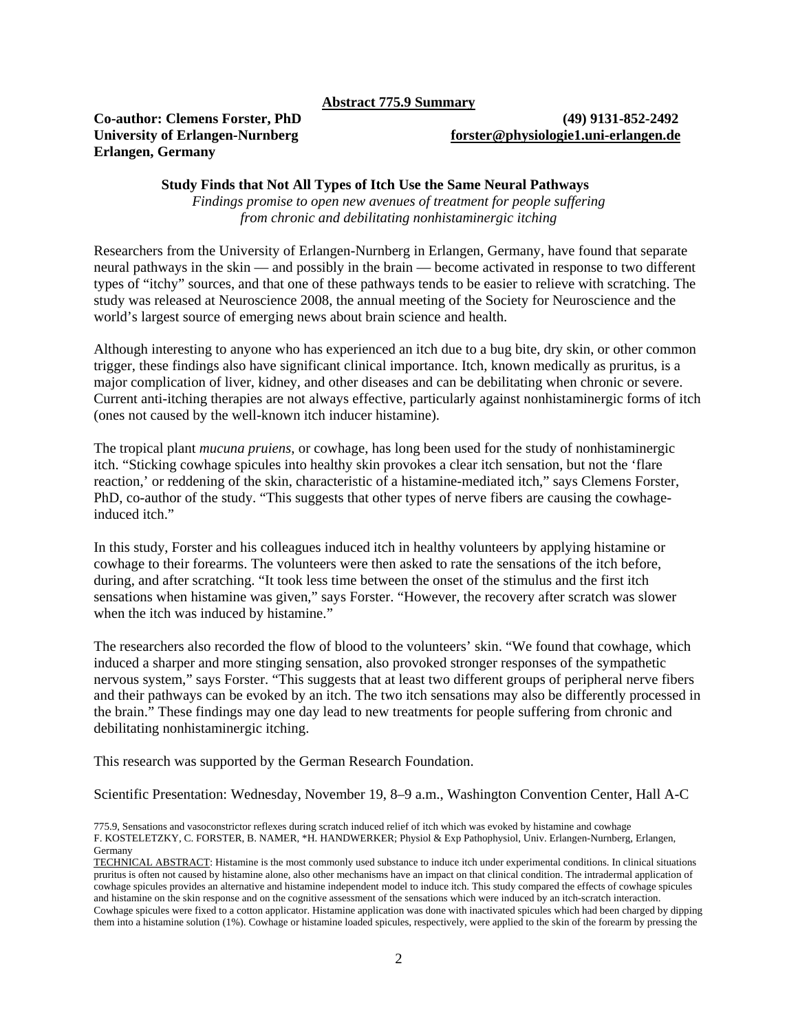**Abstract 775.9 Summary**

# **Erlangen, Germany**

# **Co-author: Clemens Forster, PhD (49) 9131-852-2492 University of Erlangen-Nurnberg [forster@physiologie1.uni-erlangen.de](mailto:forster@physiologie1.uni-erlangen.de)**

# **Study Finds that Not All Types of Itch Use the Same Neural Pathways**

*Findings promise to open new avenues of treatment for people suffering from chronic and debilitating nonhistaminergic itching* 

Researchers from the University of Erlangen-Nurnberg in Erlangen, Germany, have found that separate neural pathways in the skin — and possibly in the brain — become activated in response to two different types of "itchy" sources, and that one of these pathways tends to be easier to relieve with scratching. The study was released at Neuroscience 2008, the annual meeting of the Society for Neuroscience and the world's largest source of emerging news about brain science and health.

Although interesting to anyone who has experienced an itch due to a bug bite, dry skin, or other common trigger, these findings also have significant clinical importance. Itch, known medically as pruritus, is a major complication of liver, kidney, and other diseases and can be debilitating when chronic or severe. Current anti-itching therapies are not always effective, particularly against nonhistaminergic forms of itch (ones not caused by the well-known itch inducer histamine).

The tropical plant *mucuna pruiens*, or cowhage, has long been used for the study of nonhistaminergic itch. "Sticking cowhage spicules into healthy skin provokes a clear itch sensation, but not the 'flare reaction,' or reddening of the skin, characteristic of a histamine-mediated itch," says Clemens Forster, PhD, co-author of the study. "This suggests that other types of nerve fibers are causing the cowhageinduced itch."

In this study, Forster and his colleagues induced itch in healthy volunteers by applying histamine or cowhage to their forearms. The volunteers were then asked to rate the sensations of the itch before, during, and after scratching. "It took less time between the onset of the stimulus and the first itch sensations when histamine was given," says Forster. "However, the recovery after scratch was slower when the itch was induced by histamine."

The researchers also recorded the flow of blood to the volunteers' skin. "We found that cowhage, which induced a sharper and more stinging sensation, also provoked stronger responses of the sympathetic nervous system," says Forster. "This suggests that at least two different groups of peripheral nerve fibers and their pathways can be evoked by an itch. The two itch sensations may also be differently processed in the brain." These findings may one day lead to new treatments for people suffering from chronic and debilitating nonhistaminergic itching.

This research was supported by the German Research Foundation.

Scientific Presentation: Wednesday, November 19, 8–9 a.m., Washington Convention Center, Hall A-C

775.9, Sensations and vasoconstrictor reflexes during scratch induced relief of itch which was evoked by histamine and cowhage F. KOSTELETZKY, C. FORSTER, B. NAMER, \*H. HANDWERKER; Physiol & Exp Pathophysiol, Univ. Erlangen-Nurnberg, Erlangen, Germany

TECHNICAL ABSTRACT: Histamine is the most commonly used substance to induce itch under experimental conditions. In clinical situations pruritus is often not caused by histamine alone, also other mechanisms have an impact on that clinical condition. The intradermal application of cowhage spicules provides an alternative and histamine independent model to induce itch. This study compared the effects of cowhage spicules and histamine on the skin response and on the cognitive assessment of the sensations which were induced by an itch-scratch interaction. Cowhage spicules were fixed to a cotton applicator. Histamine application was done with inactivated spicules which had been charged by dipping them into a histamine solution (1%). Cowhage or histamine loaded spicules, respectively, were applied to the skin of the forearm by pressing the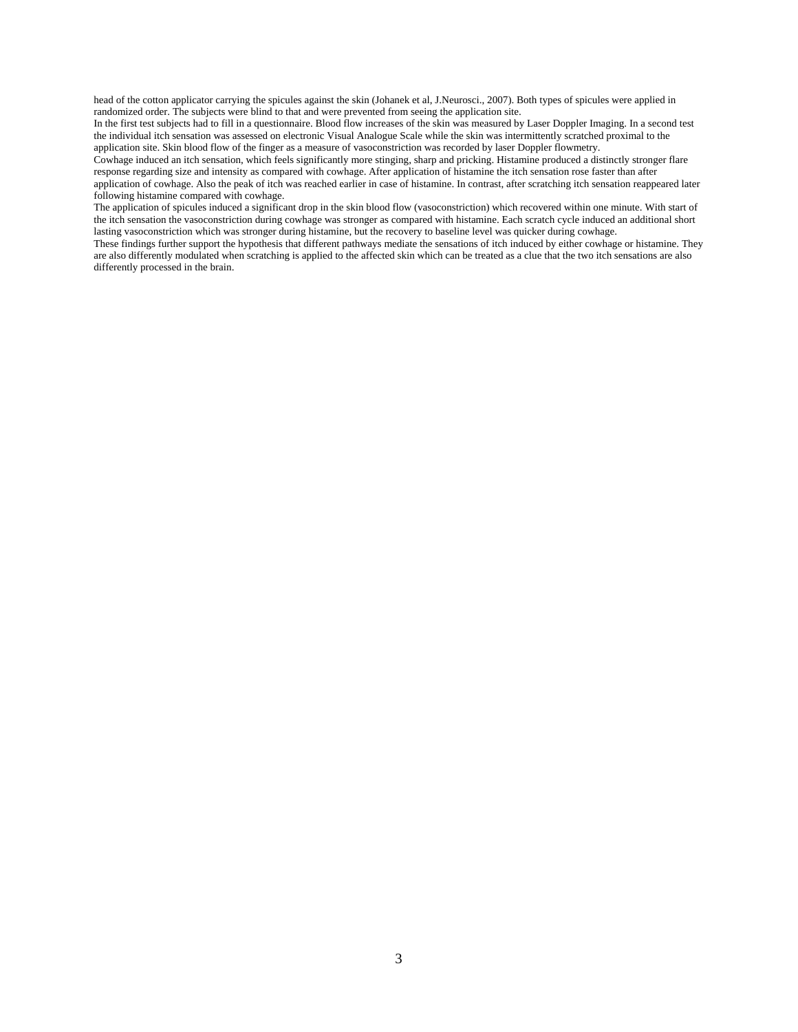head of the cotton applicator carrying the spicules against the skin (Johanek et al, J.Neurosci., 2007). Both types of spicules were applied in randomized order. The subjects were blind to that and were prevented from seeing the application site.

In the first test subjects had to fill in a questionnaire. Blood flow increases of the skin was measured by Laser Doppler Imaging. In a second test the individual itch sensation was assessed on electronic Visual Analogue Scale while the skin was intermittently scratched proximal to the application site. Skin blood flow of the finger as a measure of vasoconstriction was recorded by laser Doppler flowmetry.

Cowhage induced an itch sensation, which feels significantly more stinging, sharp and pricking. Histamine produced a distinctly stronger flare response regarding size and intensity as compared with cowhage. After application of histamine the itch sensation rose faster than after application of cowhage. Also the peak of itch was reached earlier in case of histamine. In contrast, after scratching itch sensation reappeared later following histamine compared with cowhage.

The application of spicules induced a significant drop in the skin blood flow (vasoconstriction) which recovered within one minute. With start of the itch sensation the vasoconstriction during cowhage was stronger as compared with histamine. Each scratch cycle induced an additional short lasting vasoconstriction which was stronger during histamine, but the recovery to baseline level was quicker during cowhage.

These findings further support the hypothesis that different pathways mediate the sensations of itch induced by either cowhage or histamine. They are also differently modulated when scratching is applied to the affected skin which can be treated as a clue that the two itch sensations are also differently processed in the brain.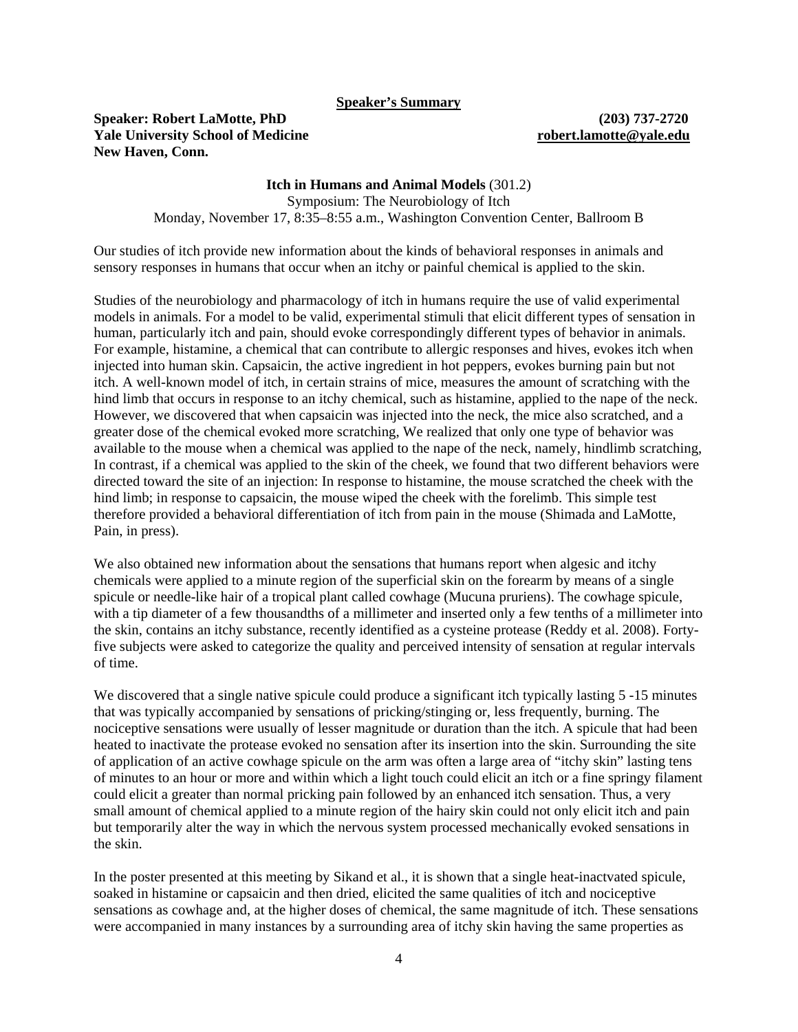**Speaker's Summary**

# **Speaker: Robert LaMotte, PhD (203) 737-2720 Yale University School of Medicine [robert.lamotte@yale.edu](mailto:robert.lamotte@yale.edu)  New Haven, Conn.**

**Itch in Humans and Animal Models** (301.2) Symposium: The Neurobiology of Itch Monday, November 17, 8:35–8:55 a.m., Washington Convention Center, Ballroom B

Our studies of itch provide new information about the kinds of behavioral responses in animals and sensory responses in humans that occur when an itchy or painful chemical is applied to the skin.

Studies of the neurobiology and pharmacology of itch in humans require the use of valid experimental models in animals. For a model to be valid, experimental stimuli that elicit different types of sensation in human, particularly itch and pain, should evoke correspondingly different types of behavior in animals. For example, histamine, a chemical that can contribute to allergic responses and hives, evokes itch when injected into human skin. Capsaicin, the active ingredient in hot peppers, evokes burning pain but not itch. A well-known model of itch, in certain strains of mice, measures the amount of scratching with the hind limb that occurs in response to an itchy chemical, such as histamine, applied to the nape of the neck. However, we discovered that when capsaicin was injected into the neck, the mice also scratched, and a greater dose of the chemical evoked more scratching, We realized that only one type of behavior was available to the mouse when a chemical was applied to the nape of the neck, namely, hindlimb scratching, In contrast, if a chemical was applied to the skin of the cheek, we found that two different behaviors were directed toward the site of an injection: In response to histamine, the mouse scratched the cheek with the hind limb; in response to capsaicin, the mouse wiped the cheek with the forelimb. This simple test therefore provided a behavioral differentiation of itch from pain in the mouse (Shimada and LaMotte, Pain, in press).

We also obtained new information about the sensations that humans report when algesic and itchy chemicals were applied to a minute region of the superficial skin on the forearm by means of a single spicule or needle-like hair of a tropical plant called cowhage (Mucuna pruriens). The cowhage spicule, with a tip diameter of a few thousandths of a millimeter and inserted only a few tenths of a millimeter into the skin, contains an itchy substance, recently identified as a cysteine protease (Reddy et al. 2008). Fortyfive subjects were asked to categorize the quality and perceived intensity of sensation at regular intervals of time.

We discovered that a single native spicule could produce a significant itch typically lasting 5 -15 minutes that was typically accompanied by sensations of pricking/stinging or, less frequently, burning. The nociceptive sensations were usually of lesser magnitude or duration than the itch. A spicule that had been heated to inactivate the protease evoked no sensation after its insertion into the skin. Surrounding the site of application of an active cowhage spicule on the arm was often a large area of "itchy skin" lasting tens of minutes to an hour or more and within which a light touch could elicit an itch or a fine springy filament could elicit a greater than normal pricking pain followed by an enhanced itch sensation. Thus, a very small amount of chemical applied to a minute region of the hairy skin could not only elicit itch and pain but temporarily alter the way in which the nervous system processed mechanically evoked sensations in the skin.

In the poster presented at this meeting by Sikand et al., it is shown that a single heat-inactvated spicule, soaked in histamine or capsaicin and then dried, elicited the same qualities of itch and nociceptive sensations as cowhage and, at the higher doses of chemical, the same magnitude of itch. These sensations were accompanied in many instances by a surrounding area of itchy skin having the same properties as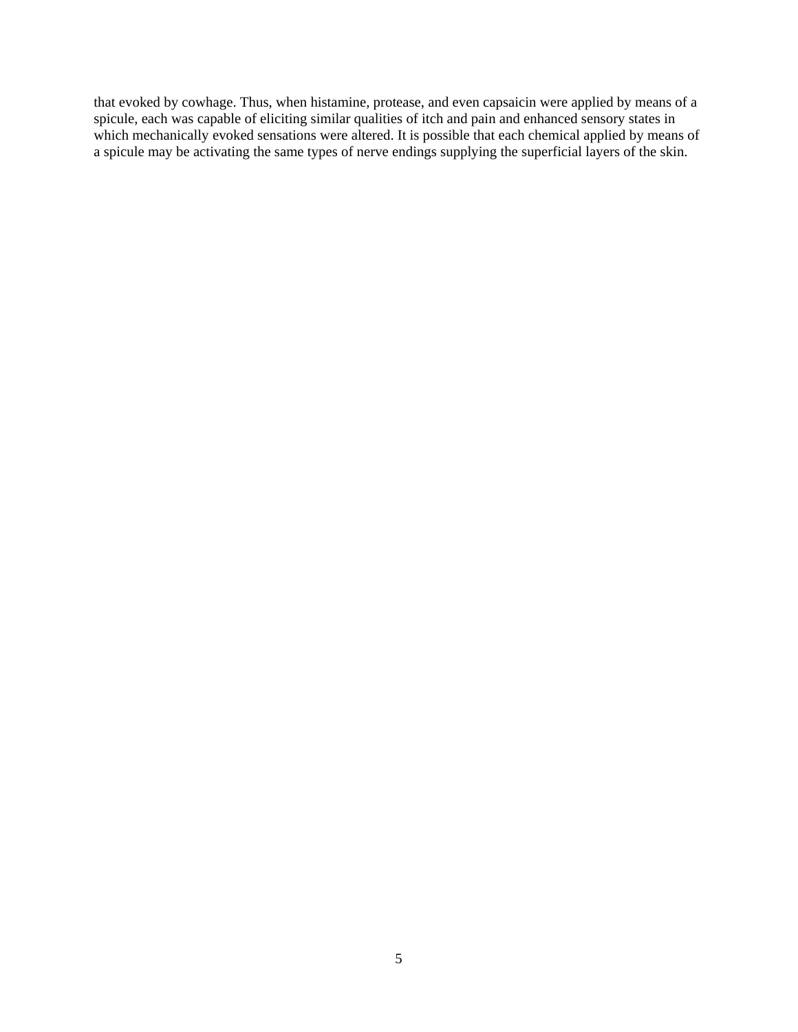that evoked by cowhage. Thus, when histamine, protease, and even capsaicin were applied by means of a spicule, each was capable of eliciting similar qualities of itch and pain and enhanced sensory states in which mechanically evoked sensations were altered. It is possible that each chemical applied by means of a spicule may be activating the same types of nerve endings supplying the superficial layers of the skin.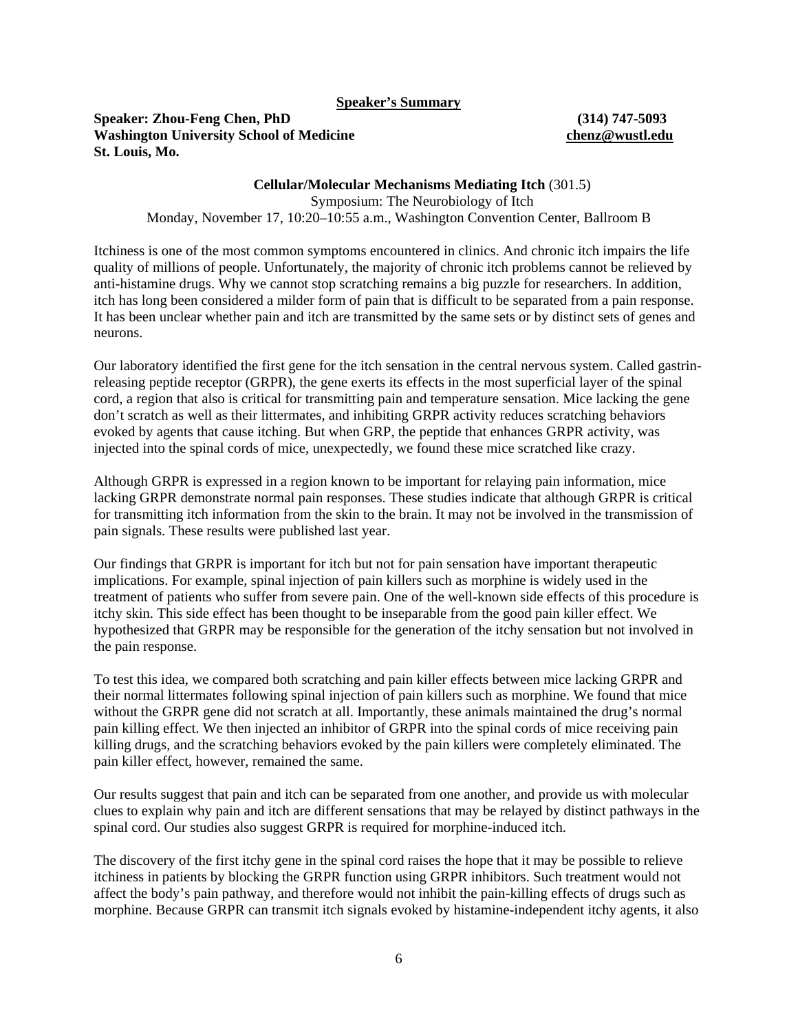### **Speaker's Summary**

**Speaker: Zhou-Feng Chen, PhD (314) 747-5093 Washington University School of Medicine [chenz@wustl.edu](mailto:chenz@wustl.edu)  St. Louis, Mo.** 

**Cellular/Molecular Mechanisms Mediating Itch** (301.5) Symposium: The Neurobiology of Itch Monday, November 17, 10:20–10:55 a.m., Washington Convention Center, Ballroom B

Itchiness is one of the most common symptoms encountered in clinics. And chronic itch impairs the life quality of millions of people. Unfortunately, the majority of chronic itch problems cannot be relieved by anti-histamine drugs. Why we cannot stop scratching remains a big puzzle for researchers. In addition, itch has long been considered a milder form of pain that is difficult to be separated from a pain response. It has been unclear whether pain and itch are transmitted by the same sets or by distinct sets of genes and neurons.

Our laboratory identified the first gene for the itch sensation in the central nervous system. Called gastrinreleasing peptide receptor (GRPR), the gene exerts its effects in the most superficial layer of the spinal cord, a region that also is critical for transmitting pain and temperature sensation. Mice lacking the gene don't scratch as well as their littermates, and inhibiting GRPR activity reduces scratching behaviors evoked by agents that cause itching. But when GRP, the peptide that enhances GRPR activity, was injected into the spinal cords of mice, unexpectedly, we found these mice scratched like crazy.

Although GRPR is expressed in a region known to be important for relaying pain information, mice lacking GRPR demonstrate normal pain responses. These studies indicate that although GRPR is critical for transmitting itch information from the skin to the brain. It may not be involved in the transmission of pain signals. These results were published last year.

Our findings that GRPR is important for itch but not for pain sensation have important therapeutic implications. For example, spinal injection of pain killers such as morphine is widely used in the treatment of patients who suffer from severe pain. One of the well-known side effects of this procedure is itchy skin. This side effect has been thought to be inseparable from the good pain killer effect. We hypothesized that GRPR may be responsible for the generation of the itchy sensation but not involved in the pain response.

To test this idea, we compared both scratching and pain killer effects between mice lacking GRPR and their normal littermates following spinal injection of pain killers such as morphine. We found that mice without the GRPR gene did not scratch at all. Importantly, these animals maintained the drug's normal pain killing effect. We then injected an inhibitor of GRPR into the spinal cords of mice receiving pain killing drugs, and the scratching behaviors evoked by the pain killers were completely eliminated. The pain killer effect, however, remained the same.

Our results suggest that pain and itch can be separated from one another, and provide us with molecular clues to explain why pain and itch are different sensations that may be relayed by distinct pathways in the spinal cord. Our studies also suggest GRPR is required for morphine-induced itch.

The discovery of the first itchy gene in the spinal cord raises the hope that it may be possible to relieve itchiness in patients by blocking the GRPR function using GRPR inhibitors. Such treatment would not affect the body's pain pathway, and therefore would not inhibit the pain-killing effects of drugs such as morphine. Because GRPR can transmit itch signals evoked by histamine-independent itchy agents, it also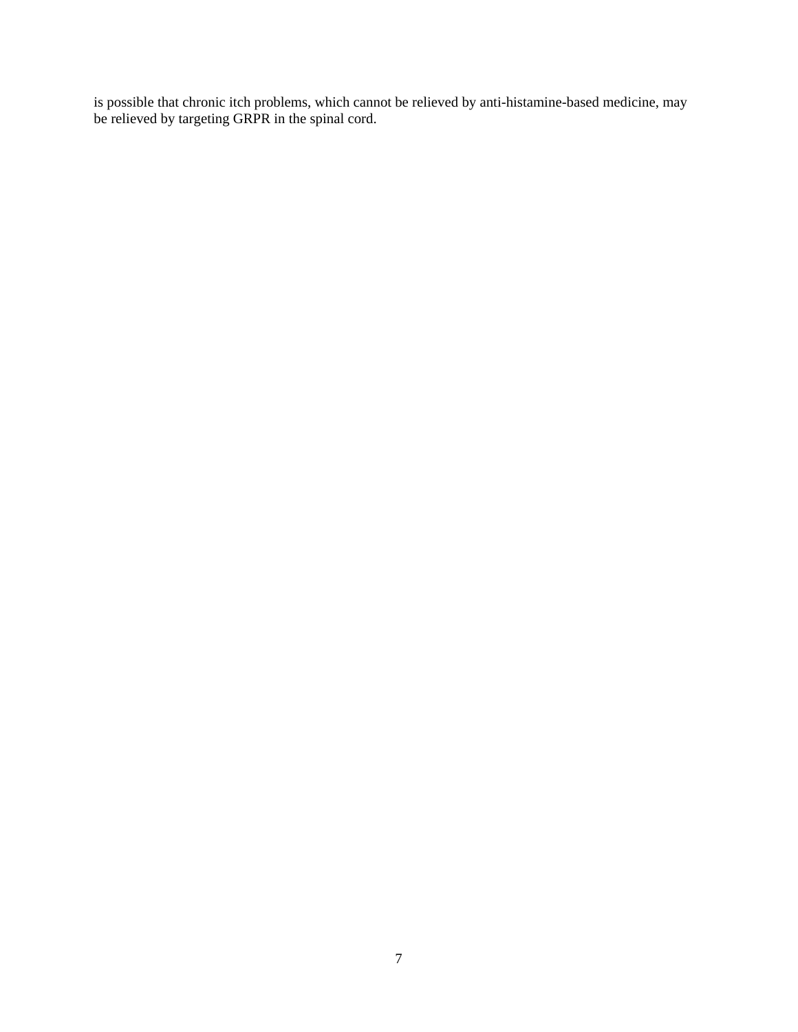is possible that chronic itch problems, which cannot be relieved by anti-histamine-based medicine, may be relieved by targeting GRPR in the spinal cord.